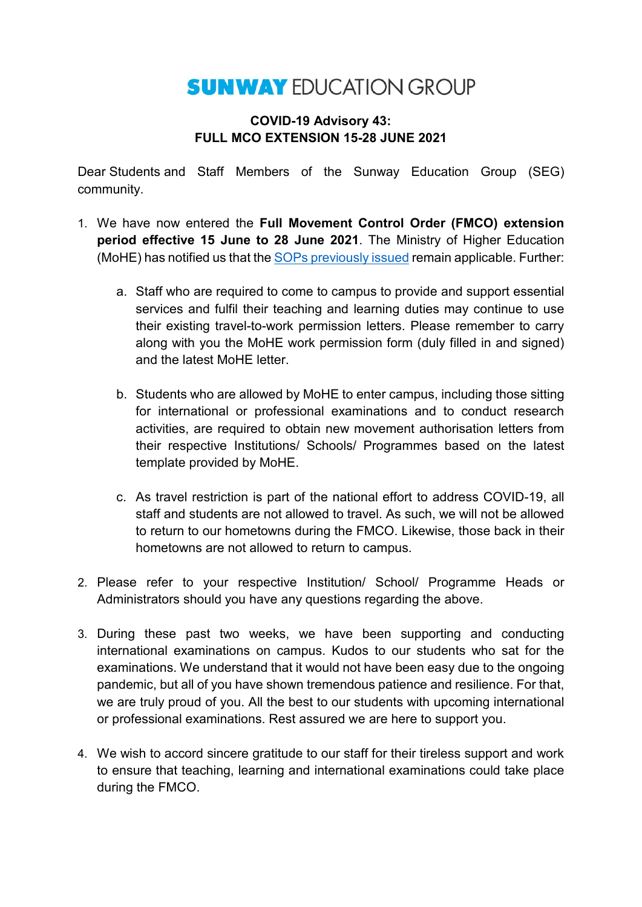## **SUNWAY EDUCATION GROUP**

## **COVID-19 Advisory 43: FULL MCO EXTENSION 15-28 JUNE 2021**

Dear Students and Staff Members of the Sunway Education Group (SEG) community.

- 1. We have now entered the **Full Movement Control Order (FMCO) extension period effective 15 June to 28 June 2021**. The Ministry of Higher Education (MoHE) has notified us that the [SOPs previously issued](https://asset.mkn.gov.my/web/wp-content/uploads/sites/3/2019/08/KPT-PKP-SOP-Sektor-Pengajian-Tinggi-Kemaskini-31-Mei-2021.pdf) remain applicable. Further:
	- a. Staff who are required to come to campus to provide and support essential services and fulfil their teaching and learning duties may continue to use their existing travel-to-work permission letters. Please remember to carry along with you the MoHE work permission form (duly filled in and signed) and the latest MoHE letter.
	- b. Students who are allowed by MoHE to enter campus, including those sitting for international or professional examinations and to conduct research activities, are required to obtain new movement authorisation letters from their respective Institutions/ Schools/ Programmes based on the latest template provided by MoHE.
	- c. As travel restriction is part of the national effort to address COVID-19, all staff and students are not allowed to travel. As such, we will not be allowed to return to our hometowns during the FMCO. Likewise, those back in their hometowns are not allowed to return to campus.
- 2. Please refer to your respective Institution/ School/ Programme Heads or Administrators should you have any questions regarding the above.
- 3. During these past two weeks, we have been supporting and conducting international examinations on campus. Kudos to our students who sat for the examinations. We understand that it would not have been easy due to the ongoing pandemic, but all of you have shown tremendous patience and resilience. For that, we are truly proud of you. All the best to our students with upcoming international or professional examinations. Rest assured we are here to support you.
- 4. We wish to accord sincere gratitude to our staff for their tireless support and work to ensure that teaching, learning and international examinations could take place during the FMCO.